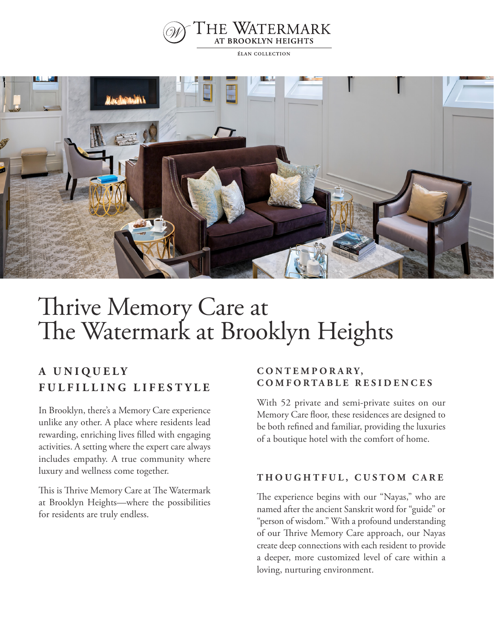

ÉLAN COLLECTION



# Thrive Memory Care at The Watermark at Brooklyn Heights

# **A U N I Q U E L Y F U L F I L L I N G L I F E S T Y L E**

In Brooklyn, there's a Memory Care experience unlike any other. A place where residents lead rewarding, enriching lives filled with engaging activities. A setting where the expert care always includes empathy. A true community where luxury and wellness come together.

This is Thrive Memory Care at The Watermark at Brooklyn Heights—where the possibilities for residents are truly endless.

#### **C O N T E M P O R A R Y , COMFORTABLE RESIDENCES**

With 52 private and semi-private suites on our Memory Care floor, these residences are designed to be both refined and familiar, providing the luxuries of a boutique hotel with the comfort of home.

#### **THOUGHTFUL, CUSTOM CARE**

The experience begins with our "Nayas," who are named after the ancient Sanskrit word for "guide" or "person of wisdom." With a profound understanding of our Thrive Memory Care approach, our Nayas create deep connections with each resident to provide a deeper, more customized level of care within a loving, nurturing environment.